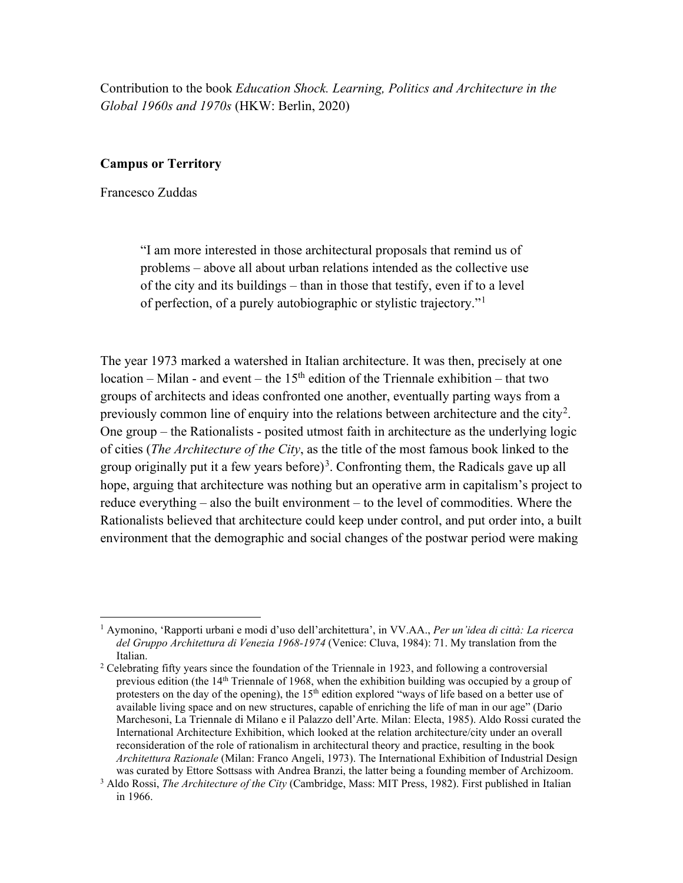Contribution to the book *Education Shock. Learning, Politics and Architecture in the Global 1960s and 1970s* (HKW: Berlin, 2020)

## **Campus or Territory**

Francesco Zuddas

"I am more interested in those architectural proposals that remind us of problems – above all about urban relations intended as the collective use of the city and its buildings – than in those that testify, even if to a level of perfection, of a purely autobiographic or stylistic trajectory."[1](#page-0-0)

The year 1973 marked a watershed in Italian architecture. It was then, precisely at one location – Milan - and event – the  $15<sup>th</sup>$  edition of the Triennale exhibition – that two groups of architects and ideas confronted one another, eventually parting ways from a previously common line of enquiry into the relations between architecture and the city<sup>[2](#page-0-1)</sup>. One group – the Rationalists - posited utmost faith in architecture as the underlying logic of cities (*The Architecture of the City*, as the title of the most famous book linked to the group originally put it a few years before)<sup>[3](#page-0-2)</sup>. Confronting them, the Radicals gave up all hope, arguing that architecture was nothing but an operative arm in capitalism's project to reduce everything – also the built environment – to the level of commodities. Where the Rationalists believed that architecture could keep under control, and put order into, a built environment that the demographic and social changes of the postwar period were making

<span id="page-0-0"></span><sup>1</sup> Aymonino, 'Rapporti urbani e modi d'uso dell'architettura', in VV.AA., *Per un'idea di città: La ricerca del Gruppo Architettura di Venezia 1968-1974* (Venice: Cluva, 1984): 71. My translation from the

<span id="page-0-1"></span><sup>&</sup>lt;sup>2</sup> Celebrating fifty years since the foundation of the Triennale in 1923, and following a controversial previous edition (the 14<sup>th</sup> Triennale of 1968, when the exhibition building was occupied by a group of protesters on the day of the opening), the 15<sup>th</sup> edition explored "ways of life based on a better use of available living space and on new structures, capable of enriching the life of man in our age" (Dario Marchesoni, La Triennale di Milano e il Palazzo dell'Arte. Milan: Electa, 1985). Aldo Rossi curated the International Architecture Exhibition, which looked at the relation architecture/city under an overall reconsideration of the role of rationalism in architectural theory and practice, resulting in the book *Architettura Razionale* (Milan: Franco Angeli, 1973). The International Exhibition of Industrial Design

<span id="page-0-2"></span><sup>&</sup>lt;sup>3</sup> Aldo Rossi, *The Architecture of the City* (Cambridge, Mass: MIT Press, 1982). First published in Italian in 1966.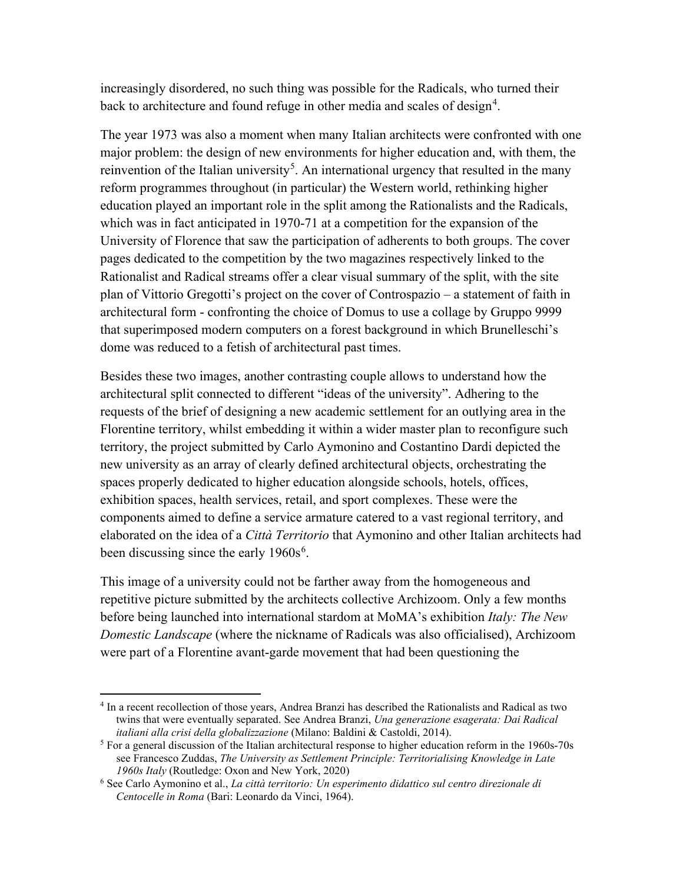increasingly disordered, no such thing was possible for the Radicals, who turned their back to architecture and found refuge in other media and scales of design<sup>[4](#page-1-0)</sup>.

The year 1973 was also a moment when many Italian architects were confronted with one major problem: the design of new environments for higher education and, with them, the reinvention of the Italian university<sup>[5](#page-1-1)</sup>. An international urgency that resulted in the many reform programmes throughout (in particular) the Western world, rethinking higher education played an important role in the split among the Rationalists and the Radicals, which was in fact anticipated in 1970-71 at a competition for the expansion of the University of Florence that saw the participation of adherents to both groups. The cover pages dedicated to the competition by the two magazines respectively linked to the Rationalist and Radical streams offer a clear visual summary of the split, with the site plan of Vittorio Gregotti's project on the cover of Controspazio – a statement of faith in architectural form - confronting the choice of Domus to use a collage by Gruppo 9999 that superimposed modern computers on a forest background in which Brunelleschi's dome was reduced to a fetish of architectural past times.

Besides these two images, another contrasting couple allows to understand how the architectural split connected to different "ideas of the university". Adhering to the requests of the brief of designing a new academic settlement for an outlying area in the Florentine territory, whilst embedding it within a wider master plan to reconfigure such territory, the project submitted by Carlo Aymonino and Costantino Dardi depicted the new university as an array of clearly defined architectural objects, orchestrating the spaces properly dedicated to higher education alongside schools, hotels, offices, exhibition spaces, health services, retail, and sport complexes. These were the components aimed to define a service armature catered to a vast regional territory, and elaborated on the idea of a *Città Territorio* that Aymonino and other Italian architects had been discussing since the early  $1960s^6$  $1960s^6$  $1960s^6$ .

This image of a university could not be farther away from the homogeneous and repetitive picture submitted by the architects collective Archizoom. Only a few months before being launched into international stardom at MoMA's exhibition *Italy: The New Domestic Landscape* (where the nickname of Radicals was also officialised), Archizoom were part of a Florentine avant-garde movement that had been questioning the

<span id="page-1-0"></span><sup>4</sup> In a recent recollection of those years, Andrea Branzi has described the Rationalists and Radical as two twins that were eventually separated. See Andrea Branzi, *Una generazione esagerata: Dai Radical italiani alla crisi della globalizzazione* (Milano: Baldini & Castoldi, 2014).

<span id="page-1-1"></span> $<sup>5</sup>$  For a general discussion of the Italian architectural response to higher education reform in the 1960s-70s</sup> see Francesco Zuddas, *The University as Settlement Principle: Territorialising Knowledge in Late 1960s Italy* (Routledge: Oxon and New York, 2020)

<span id="page-1-2"></span><sup>6</sup> See Carlo Aymonino et al., *La città territorio: Un esperimento didattico sul centro direzionale di Centocelle in Roma* (Bari: Leonardo da Vinci, 1964).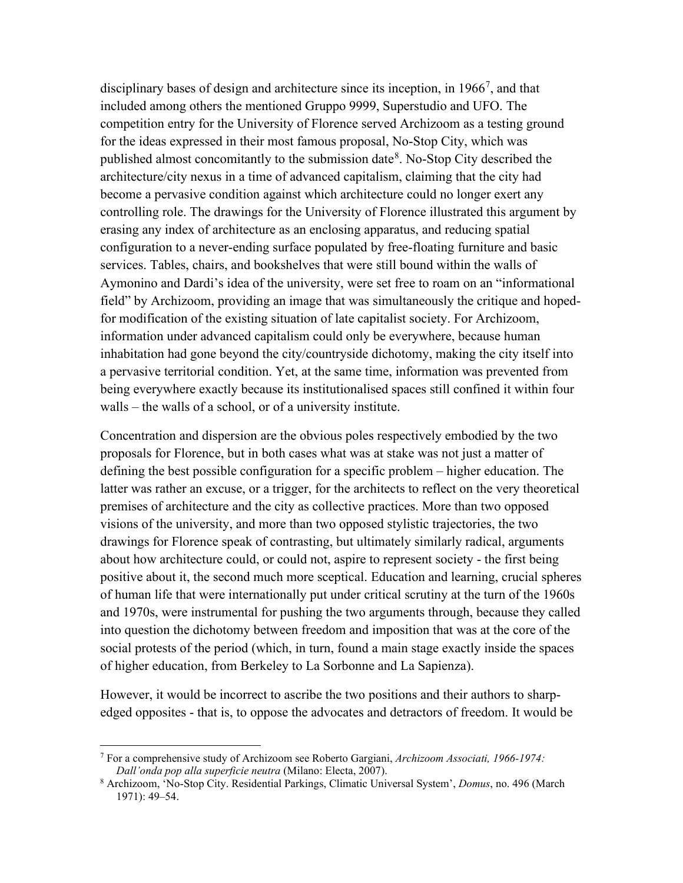disciplinary bases of design and architecture since its inception, in  $1966^7$  $1966^7$ , and that included among others the mentioned Gruppo 9999, Superstudio and UFO. The competition entry for the University of Florence served Archizoom as a testing ground for the ideas expressed in their most famous proposal, No-Stop City, which was published almost concomitantly to the submission date $8$ . No-Stop City described the architecture/city nexus in a time of advanced capitalism, claiming that the city had become a pervasive condition against which architecture could no longer exert any controlling role. The drawings for the University of Florence illustrated this argument by erasing any index of architecture as an enclosing apparatus, and reducing spatial configuration to a never-ending surface populated by free-floating furniture and basic services. Tables, chairs, and bookshelves that were still bound within the walls of Aymonino and Dardi's idea of the university, were set free to roam on an "informational field" by Archizoom, providing an image that was simultaneously the critique and hopedfor modification of the existing situation of late capitalist society. For Archizoom, information under advanced capitalism could only be everywhere, because human inhabitation had gone beyond the city/countryside dichotomy, making the city itself into a pervasive territorial condition. Yet, at the same time, information was prevented from being everywhere exactly because its institutionalised spaces still confined it within four walls – the walls of a school, or of a university institute.

Concentration and dispersion are the obvious poles respectively embodied by the two proposals for Florence, but in both cases what was at stake was not just a matter of defining the best possible configuration for a specific problem – higher education. The latter was rather an excuse, or a trigger, for the architects to reflect on the very theoretical premises of architecture and the city as collective practices. More than two opposed visions of the university, and more than two opposed stylistic trajectories, the two drawings for Florence speak of contrasting, but ultimately similarly radical, arguments about how architecture could, or could not, aspire to represent society - the first being positive about it, the second much more sceptical. Education and learning, crucial spheres of human life that were internationally put under critical scrutiny at the turn of the 1960s and 1970s, were instrumental for pushing the two arguments through, because they called into question the dichotomy between freedom and imposition that was at the core of the social protests of the period (which, in turn, found a main stage exactly inside the spaces of higher education, from Berkeley to La Sorbonne and La Sapienza).

However, it would be incorrect to ascribe the two positions and their authors to sharpedged opposites - that is, to oppose the advocates and detractors of freedom. It would be

<span id="page-2-0"></span><sup>7</sup> For a comprehensive study of Archizoom see Roberto Gargiani, *Archizoom Associati, 1966-1974:* 

<span id="page-2-1"></span><sup>&</sup>lt;sup>8</sup> Archizoom, 'No-Stop City. Residential Parkings, Climatic Universal System', *Domus*, no. 496 (March 1971): 49–54.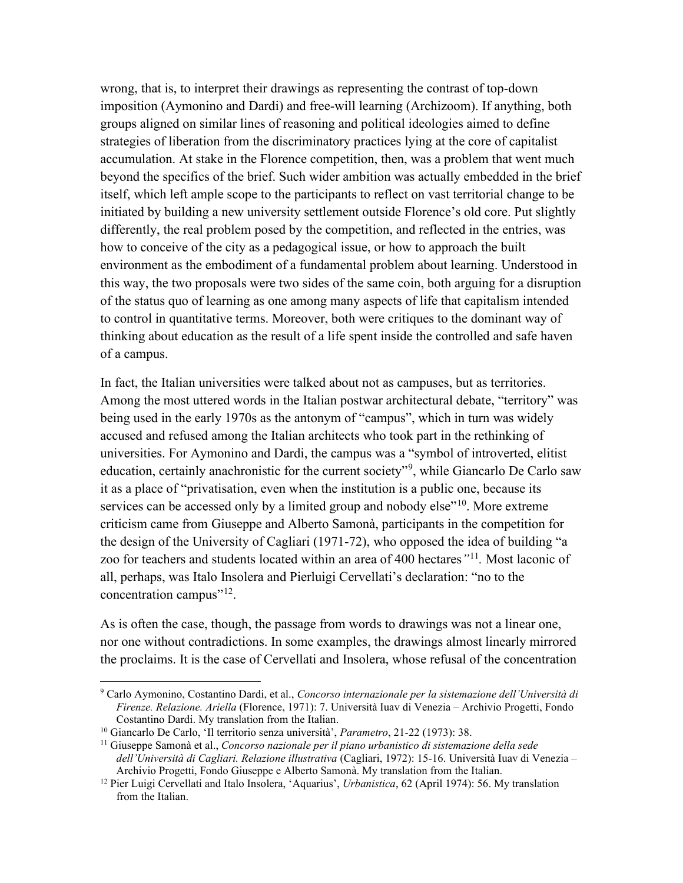wrong, that is, to interpret their drawings as representing the contrast of top-down imposition (Aymonino and Dardi) and free-will learning (Archizoom). If anything, both groups aligned on similar lines of reasoning and political ideologies aimed to define strategies of liberation from the discriminatory practices lying at the core of capitalist accumulation. At stake in the Florence competition, then, was a problem that went much beyond the specifics of the brief. Such wider ambition was actually embedded in the brief itself, which left ample scope to the participants to reflect on vast territorial change to be initiated by building a new university settlement outside Florence's old core. Put slightly differently, the real problem posed by the competition, and reflected in the entries, was how to conceive of the city as a pedagogical issue, or how to approach the built environment as the embodiment of a fundamental problem about learning. Understood in this way, the two proposals were two sides of the same coin, both arguing for a disruption of the status quo of learning as one among many aspects of life that capitalism intended to control in quantitative terms. Moreover, both were critiques to the dominant way of thinking about education as the result of a life spent inside the controlled and safe haven of a campus.

In fact, the Italian universities were talked about not as campuses, but as territories. Among the most uttered words in the Italian postwar architectural debate, "territory" was being used in the early 1970s as the antonym of "campus", which in turn was widely accused and refused among the Italian architects who took part in the rethinking of universities. For Aymonino and Dardi, the campus was a "symbol of introverted, elitist education, certainly anachronistic for the current society"<sup>[9](#page-3-0)</sup>, while Giancarlo De Carlo saw it as a place of "privatisation, even when the institution is a public one, because its services can be accessed only by a limited group and nobody else $"^{10}$  $"^{10}$  $"^{10}$ . More extreme criticism came from Giuseppe and Alberto Samonà, participants in the competition for the design of the University of Cagliari (1971-72), who opposed the idea of building "a zoo for teachers and students located within an area of 400 hectares*"*[11](#page-3-2)*.* Most laconic of all, perhaps, was Italo Insolera and Pierluigi Cervellati's declaration: "no to the concentration campus"<sup>12</sup>.

As is often the case, though, the passage from words to drawings was not a linear one, nor one without contradictions. In some examples, the drawings almost linearly mirrored the proclaims. It is the case of Cervellati and Insolera, whose refusal of the concentration

<span id="page-3-0"></span><sup>9</sup> Carlo Aymonino, Costantino Dardi, et al., *Concorso internazionale per la sistemazione dell'Università di Firenze. Relazione. Ariella* (Florence, 1971): 7. Università Iuav di Venezia – Archivio Progetti, Fondo

<span id="page-3-1"></span><sup>&</sup>lt;sup>10</sup> Giancarlo De Carlo, 'Il territorio senza università', *Parametro*, 21-22 (1973): 38.

<span id="page-3-2"></span><sup>11</sup> Giuseppe Samonà et al., *Concorso nazionale per il piano urbanistico di sistemazione della sede dell'Università di Cagliari. Relazione illustrativa* (Cagliari, 1972): 15-16. Università Iuav di Venezia –

<span id="page-3-3"></span><sup>&</sup>lt;sup>12</sup> Pier Luigi Cervellati and Italo Insolera, 'Aquarius', *Urbanistica*, 62 (April 1974): 56. My translation from the Italian.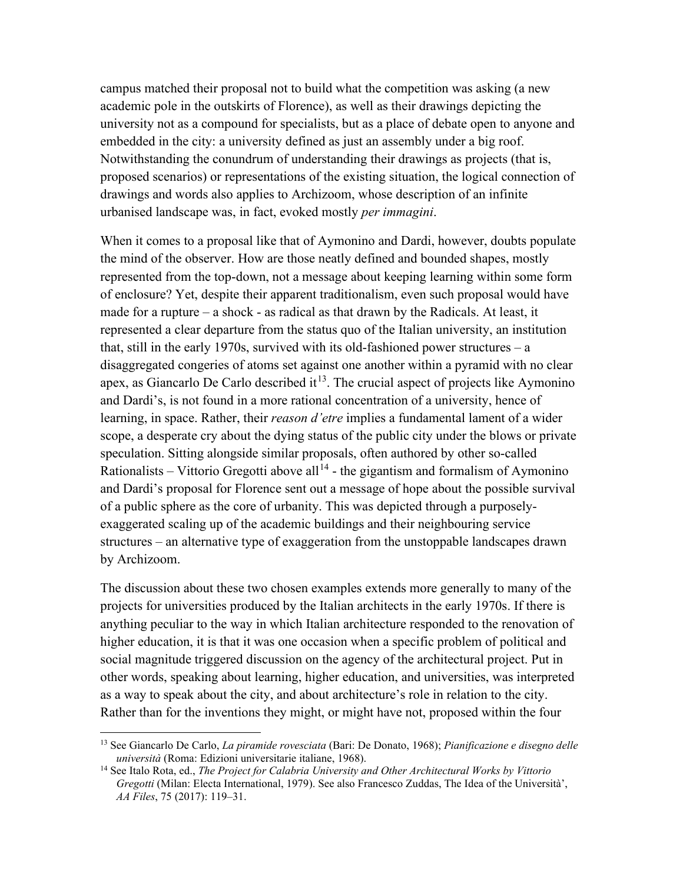campus matched their proposal not to build what the competition was asking (a new academic pole in the outskirts of Florence), as well as their drawings depicting the university not as a compound for specialists, but as a place of debate open to anyone and embedded in the city: a university defined as just an assembly under a big roof. Notwithstanding the conundrum of understanding their drawings as projects (that is, proposed scenarios) or representations of the existing situation, the logical connection of drawings and words also applies to Archizoom, whose description of an infinite urbanised landscape was, in fact, evoked mostly *per immagini*.

When it comes to a proposal like that of Aymonino and Dardi, however, doubts populate the mind of the observer. How are those neatly defined and bounded shapes, mostly represented from the top-down, not a message about keeping learning within some form of enclosure? Yet, despite their apparent traditionalism, even such proposal would have made for a rupture – a shock - as radical as that drawn by the Radicals. At least, it represented a clear departure from the status quo of the Italian university, an institution that, still in the early 1970s, survived with its old-fashioned power structures  $-$  a disaggregated congeries of atoms set against one another within a pyramid with no clear apex, as Giancarlo De Carlo described it<sup>13</sup>. The crucial aspect of projects like Aymonino and Dardi's, is not found in a more rational concentration of a university, hence of learning, in space. Rather, their *reason d'etre* implies a fundamental lament of a wider scope, a desperate cry about the dying status of the public city under the blows or private speculation. Sitting alongside similar proposals, often authored by other so-called Rationalists – Vittorio Gregotti above all<sup>[14](#page-4-1)</sup> - the gigantism and formalism of Aymonino and Dardi's proposal for Florence sent out a message of hope about the possible survival of a public sphere as the core of urbanity. This was depicted through a purposelyexaggerated scaling up of the academic buildings and their neighbouring service structures – an alternative type of exaggeration from the unstoppable landscapes drawn by Archizoom.

The discussion about these two chosen examples extends more generally to many of the projects for universities produced by the Italian architects in the early 1970s. If there is anything peculiar to the way in which Italian architecture responded to the renovation of higher education, it is that it was one occasion when a specific problem of political and social magnitude triggered discussion on the agency of the architectural project. Put in other words, speaking about learning, higher education, and universities, was interpreted as a way to speak about the city, and about architecture's role in relation to the city. Rather than for the inventions they might, or might have not, proposed within the four

<span id="page-4-0"></span><sup>13</sup> See Giancarlo De Carlo, *La piramide rovesciata* (Bari: De Donato, 1968); *Pianificazione e disegno delle università* (Roma: Edizioni universitarie italiane, 1968).

<span id="page-4-1"></span><sup>14</sup> See Italo Rota, ed., *The Project for Calabria University and Other Architectural Works by Vittorio Gregotti* (Milan: Electa International, 1979). See also Francesco Zuddas, The Idea of the Università', *AA Files*, 75 (2017): 119–31.